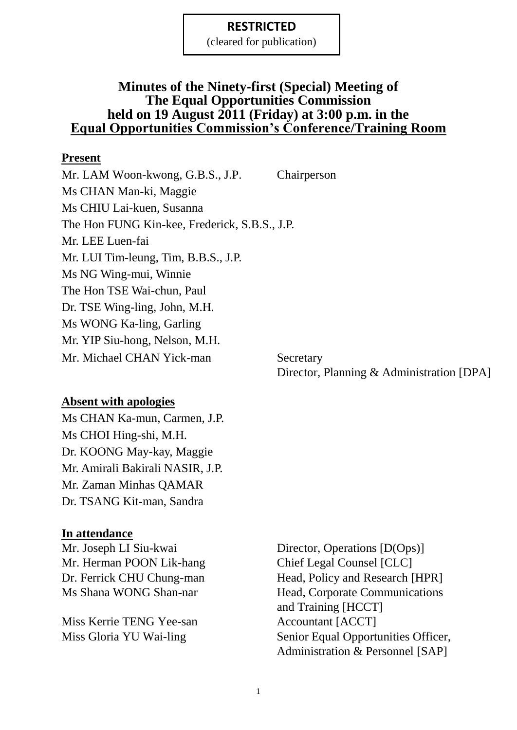(cleared for publication)

### **Minutes of the Ninety-first (Special) Meeting of The Equal Opportunities Commission held on 19 August 2011 (Friday) at 3:00 p.m. in the Equal Opportunities Commission's Conference/Training Room**

### **Present**

Mr. LAM Woon-kwong, G.B.S., J.P. Chairperson Ms CHAN Man-ki, Maggie Ms CHIU Lai-kuen, Susanna The Hon FUNG Kin-kee, Frederick, S.B.S., J.P. Mr. LEE Luen-fai Mr. LUI Tim-leung, Tim, B.B.S., J.P. Ms NG Wing-mui, Winnie The Hon TSE Wai-chun, Paul Dr. TSE Wing-ling, John, M.H. Ms WONG Ka-ling, Garling Mr. YIP Siu-hong, Nelson, M.H. Mr. Michael CHAN Yick-man Secretary

Director, Planning & Administration [DPA]

### **Absent with apologies**

Ms CHAN Ka-mun, Carmen, J.P. Ms CHOI Hing-shi, M.H. Dr. KOONG May-kay, Maggie Mr. Amirali Bakirali NASIR, J.P. Mr. Zaman Minhas QAMAR Dr. TSANG Kit-man, Sandra

### **In attendance**

Mr. Herman POON Lik-hang Chief Legal Counsel [CLC]

Miss Kerrie TENG Yee-san Accountant [ACCT]

Mr. Joseph LI Siu-kwai Director, Operations [D(Ops)] Dr. Ferrick CHU Chung-man Head, Policy and Research [HPR] Ms Shana WONG Shan-nar Head, Corporate Communications and Training [HCCT] Miss Gloria YU Wai-ling Senior Equal Opportunities Officer, Administration & Personnel [SAP]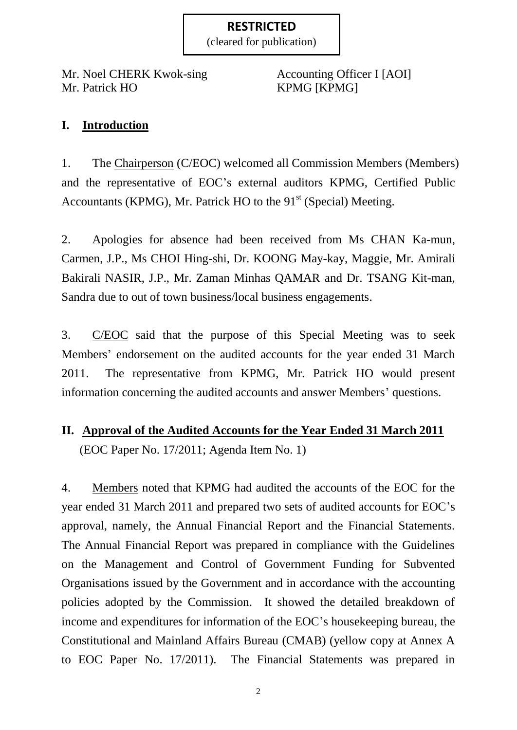(cleared for publication)

Mr. Noel CHERK Kwok-sing Accounting Officer I [AOI] Mr. Patrick HO KPMG [KPMG]

# **I. Introduction**

1. The Chairperson (C/EOC) welcomed all Commission Members (Members) and the representative of EOC's external auditors KPMG, Certified Public Accountants (KPMG), Mr. Patrick HO to the  $91<sup>st</sup>$  (Special) Meeting.

2. Apologies for absence had been received from Ms CHAN Ka-mun, Carmen, J.P., Ms CHOI Hing-shi, Dr. KOONG May-kay, Maggie, Mr. Amirali Bakirali NASIR, J.P., Mr. Zaman Minhas QAMAR and Dr. TSANG Kit-man, Sandra due to out of town business/local business engagements.

3. C/EOC said that the purpose of this Special Meeting was to seek Members' endorsement on the audited accounts for the year ended 31 March 2011. The representative from KPMG, Mr. Patrick HO would present information concerning the audited accounts and answer Members' questions.

# **II. Approval of the Audited Accounts for the Year Ended 31 March 2011** (EOC Paper No. 17/2011; Agenda Item No. 1)

4. Members noted that KPMG had audited the accounts of the EOC for the year ended 31 March 2011 and prepared two sets of audited accounts for EOC's approval, namely, the Annual Financial Report and the Financial Statements. The Annual Financial Report was prepared in compliance with the Guidelines on the Management and Control of Government Funding for Subvented Organisations issued by the Government and in accordance with the accounting policies adopted by the Commission. It showed the detailed breakdown of income and expenditures for information of the EOC's housekeeping bureau, the Constitutional and Mainland Affairs Bureau (CMAB) (yellow copy at Annex A to EOC Paper No. 17/2011). The Financial Statements was prepared in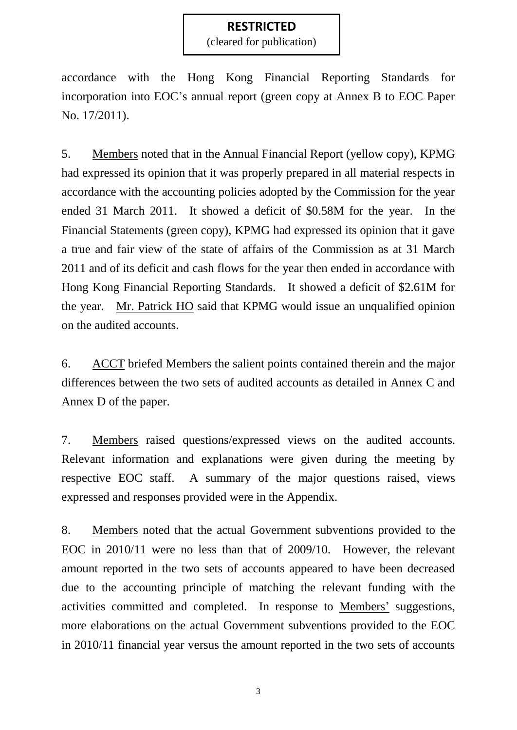(cleared for publication)

accordance with the Hong Kong Financial Reporting Standards for incorporation into EOC's annual report (green copy at Annex B to EOC Paper No. 17/2011).

5. Members noted that in the Annual Financial Report (yellow copy), KPMG had expressed its opinion that it was properly prepared in all material respects in accordance with the accounting policies adopted by the Commission for the year ended 31 March 2011. It showed a deficit of \$0.58M for the year. In the Financial Statements (green copy), KPMG had expressed its opinion that it gave a true and fair view of the state of affairs of the Commission as at 31 March 2011 and of its deficit and cash flows for the year then ended in accordance with Hong Kong Financial Reporting Standards. It showed a deficit of \$2.61M for the year. Mr. Patrick HO said that KPMG would issue an unqualified opinion on the audited accounts.

6. ACCT briefed Members the salient points contained therein and the major differences between the two sets of audited accounts as detailed in Annex C and Annex D of the paper.

7. Members raised questions/expressed views on the audited accounts. Relevant information and explanations were given during the meeting by respective EOC staff. A summary of the major questions raised, views expressed and responses provided were in the Appendix.

8. Members noted that the actual Government subventions provided to the EOC in 2010/11 were no less than that of 2009/10. However, the relevant amount reported in the two sets of accounts appeared to have been decreased due to the accounting principle of matching the relevant funding with the activities committed and completed. In response to Members' suggestions, more elaborations on the actual Government subventions provided to the EOC in 2010/11 financial year versus the amount reported in the two sets of accounts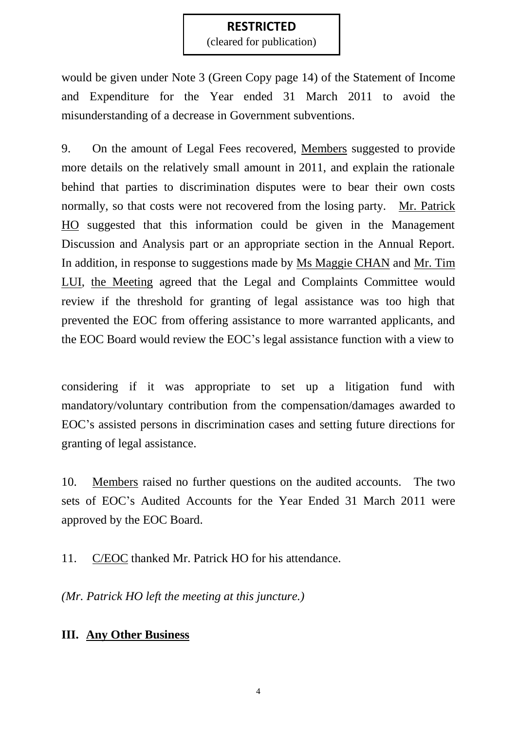(cleared for publication)

would be given under Note 3 (Green Copy page 14) of the Statement of Income and Expenditure for the Year ended 31 March 2011 to avoid the misunderstanding of a decrease in Government subventions.

9. On the amount of Legal Fees recovered, Members suggested to provide more details on the relatively small amount in 2011, and explain the rationale behind that parties to discrimination disputes were to bear their own costs normally, so that costs were not recovered from the losing party. Mr. Patrick HO suggested that this information could be given in the Management Discussion and Analysis part or an appropriate section in the Annual Report. In addition, in response to suggestions made by Ms Maggie CHAN and Mr. Tim LUI, the Meeting agreed that the Legal and Complaints Committee would review if the threshold for granting of legal assistance was too high that prevented the EOC from offering assistance to more warranted applicants, and the EOC Board would review the EOC's legal assistance function with a view to

considering if it was appropriate to set up a litigation fund with mandatory/voluntary contribution from the compensation/damages awarded to EOC's assisted persons in discrimination cases and setting future directions for granting of legal assistance.

10. Members raised no further questions on the audited accounts. The two sets of EOC's Audited Accounts for the Year Ended 31 March 2011 were approved by the EOC Board.

11. C/EOC thanked Mr. Patrick HO for his attendance.

*(Mr. Patrick HO left the meeting at this juncture.)*

## **III. Any Other Business**